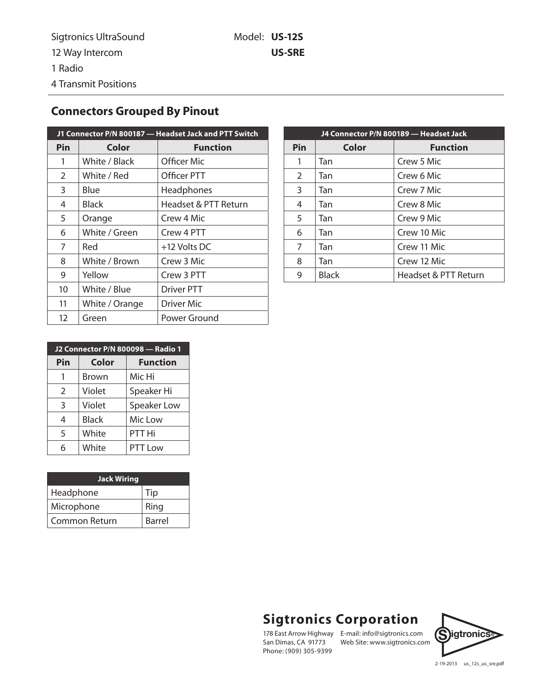## **Connectors Grouped By Pinout**

| J1 Connector P/N 800187 - Headset Jack and PTT Switch |                |                      |
|-------------------------------------------------------|----------------|----------------------|
| Pin                                                   | Color          | <b>Function</b>      |
| 1                                                     | White / Black  | Officer Mic          |
| $\overline{2}$                                        | White / Red    | Officer PTT          |
| 3                                                     | Blue           | Headphones           |
| 4                                                     | Black          | Headset & PTT Return |
| 5                                                     | Orange         | Crew 4 Mic           |
| 6                                                     | White / Green  | Crew 4 PTT           |
| 7                                                     | Red            | +12 Volts DC         |
| 8                                                     | White / Brown  | Crew 3 Mic           |
| 9                                                     | Yellow         | Crew 3 PTT           |
| 10                                                    | White / Blue   | <b>Driver PTT</b>    |
| 11                                                    | White / Orange | Driver Mic           |
| 12                                                    | Green          | Power Ground         |

| J4 Connector P/N 800189 - Headset Jack |              |                      |
|----------------------------------------|--------------|----------------------|
| Pin                                    | Color        | <b>Function</b>      |
| 1                                      | Tan          | Crew 5 Mic           |
| 2                                      | Tan          | Crew 6 Mic           |
| 3                                      | Tan          | Crew 7 Mic           |
| 4                                      | Tan          | Crew 8 Mic           |
| 5                                      | Tan          | Crew 9 Mic           |
| 6                                      | Tan          | Crew 10 Mic          |
| 7                                      | Tan          | Crew 11 Mic          |
| 8                                      | Tan          | Crew 12 Mic          |
| 9                                      | <b>Black</b> | Headset & PTT Return |

| J2 Connector P/N 800098 - Radio 1 |              |                 |
|-----------------------------------|--------------|-----------------|
| Pin                               | Color        | <b>Function</b> |
|                                   | Brown        | Mic Hi          |
| $\mathcal{L}$                     | Violet       | Speaker Hi      |
| 3                                 | Violet       | Speaker Low     |
| 4                                 | <b>Black</b> | Mic Low         |
| 5                                 | White        | PTT Hi          |
| 6                                 | White        | <b>PTT Low</b>  |

| <b>Jack Wiring</b> |        |
|--------------------|--------|
| Headphone          | Tip    |
| Microphone         | Ring   |
| Common Return      | Barrel |

## **Sigtronics Corporation**

San Dimas, CA 91773 Phone: (909) 305-9399

178 East Arrow Highway E-mail: info@sigtronics.com E-mail: info@sigtronics.com **S**igtronics<br>Web Site: www.sigtronics.com



2-19-2013 us\_12s\_us\_sre.pdf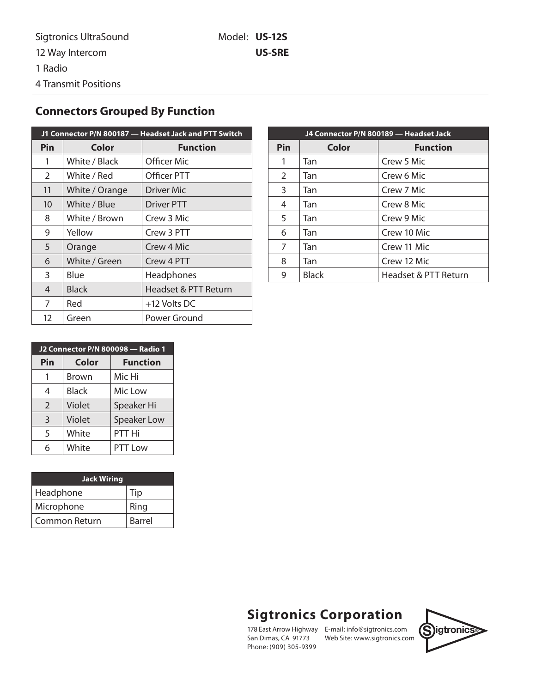## **Connectors Grouped By Function**

| J1 Connector P/N 800187 - Headset Jack and PTT Switch |                |                      |
|-------------------------------------------------------|----------------|----------------------|
| Pin                                                   | Color          | <b>Function</b>      |
| 1                                                     | White / Black  | Officer Mic          |
| $\overline{2}$                                        | White / Red    | Officer PTT          |
| 11                                                    | White / Orange | Driver Mic           |
| 10                                                    | White / Blue   | Driver PTT           |
| 8                                                     | White / Brown  | Crew 3 Mic           |
| 9                                                     | Yellow         | Crew 3 PTT           |
| 5                                                     | Orange         | Crew 4 Mic           |
| 6                                                     | White / Green  | Crew 4 PTT           |
| 3                                                     | Blue           | Headphones           |
| $\overline{4}$                                        | <b>Black</b>   | Headset & PTT Return |
| 7                                                     | Red            | +12 Volts DC         |
| 12                                                    | Green          | Power Ground         |

| J4 Connector P/N 800189 - Headset Jack |              |                      |
|----------------------------------------|--------------|----------------------|
| Pin                                    | Color        | <b>Function</b>      |
| 1                                      | Tan          | Crew 5 Mic           |
| $\overline{2}$                         | Tan          | Crew 6 Mic           |
| 3                                      | Tan          | Crew 7 Mic           |
| 4                                      | Tan          | Crew 8 Mic           |
| 5                                      | Tan          | Crew 9 Mic           |
| 6                                      | Tan          | Crew 10 Mic          |
| 7                                      | Tan          | Crew 11 Mic          |
| 8                                      | Tan          | Crew 12 Mic          |
| 9                                      | <b>Black</b> | Headset & PTT Return |

| J2 Connector P/N 800098 - Radio 1 |              |                    |
|-----------------------------------|--------------|--------------------|
| Pin                               | <b>Color</b> | <b>Function</b>    |
| 1                                 | Brown        | Mic Hi             |
| 4                                 | Black        | Mic Low            |
| $\overline{2}$                    | Violet       | Speaker Hi         |
| $\overline{3}$                    | Violet       | <b>Speaker Low</b> |
| 5                                 | White        | PTT Hi             |
| 6                                 | White        | PTT Low            |

| <b>Jack Wiring</b>   |        |  |
|----------------------|--------|--|
| Headphone            | Tip    |  |
| Microphone           | Ring   |  |
| <b>Common Return</b> | Barrel |  |

## **Sigtronics Corporation**

San Dimas, CA 91773 Phone: (909) 305-9399

178 East Arrow Highway E-mail: info@sigtronics.com **Sigtronics**